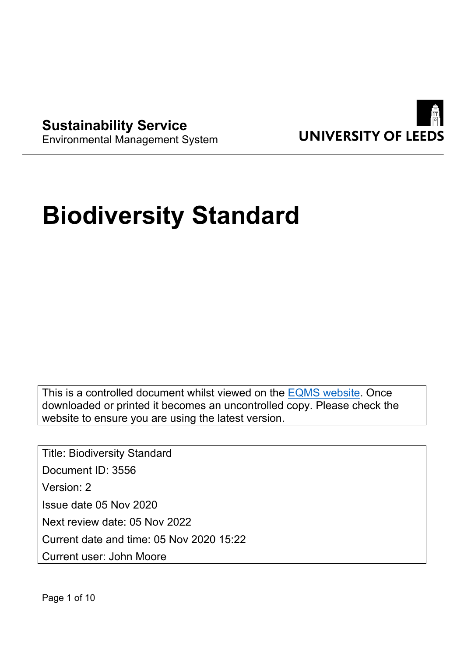

**Sustainability Service** Environmental Management System

# **Biodiversity Standard**

This is a controlled document whilst viewed on the [EQMS website.](https://universityofleeds.myeqms.com/Login/Login.aspx) Once downloaded or printed it becomes an uncontrolled copy. Please check the website to ensure you are using the latest version.

Title: Biodiversity Standard Document ID: 3556 Version: 2 Issue date 05 Nov 2020 Next review date: 05 Nov 2022 Current date and time: 05 Nov 2020 15:22 Current user: John Moore

Page 1 of 10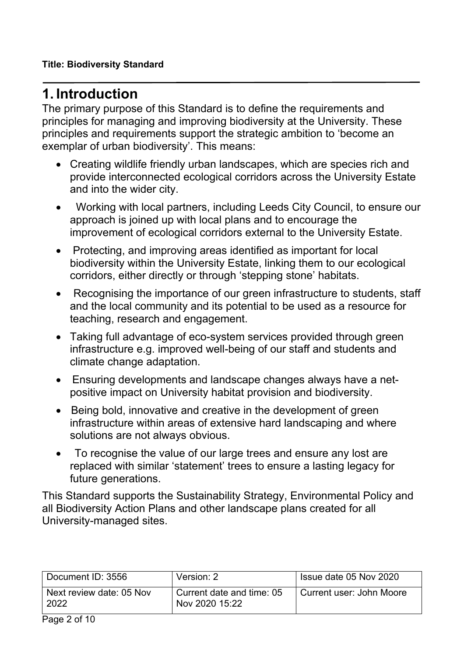# **1. Introduction**

The primary purpose of this Standard is to define the requirements and principles for managing and improving biodiversity at the University. These principles and requirements support the strategic ambition to 'become an exemplar of urban biodiversity'. This means:

- Creating wildlife friendly urban landscapes, which are species rich and provide interconnected ecological corridors across the University Estate and into the wider city.
- Working with local partners, including Leeds City Council, to ensure our approach is joined up with local plans and to encourage the improvement of ecological corridors external to the University Estate.
- Protecting, and improving areas identified as important for local biodiversity within the University Estate, linking them to our ecological corridors, either directly or through 'stepping stone' habitats.
- Recognising the importance of our green infrastructure to students, staff and the local community and its potential to be used as a resource for teaching, research and engagement.
- Taking full advantage of eco-system services provided through green infrastructure e.g. improved well-being of our staff and students and climate change adaptation.
- Ensuring developments and landscape changes always have a netpositive impact on University habitat provision and biodiversity.
- Being bold, innovative and creative in the development of green infrastructure within areas of extensive hard landscaping and where solutions are not always obvious.
- To recognise the value of our large trees and ensure any lost are replaced with similar 'statement' trees to ensure a lasting legacy for future generations.

This Standard supports the Sustainability Strategy, Environmental Policy and all Biodiversity Action Plans and other landscape plans created for all University-managed sites.

| Document ID: 3556                | Version: 2                                  | Issue date 05 Nov 2020   |
|----------------------------------|---------------------------------------------|--------------------------|
| Next review date: 05 Nov<br>2022 | Current date and time: 05<br>Nov 2020 15:22 | Current user: John Moore |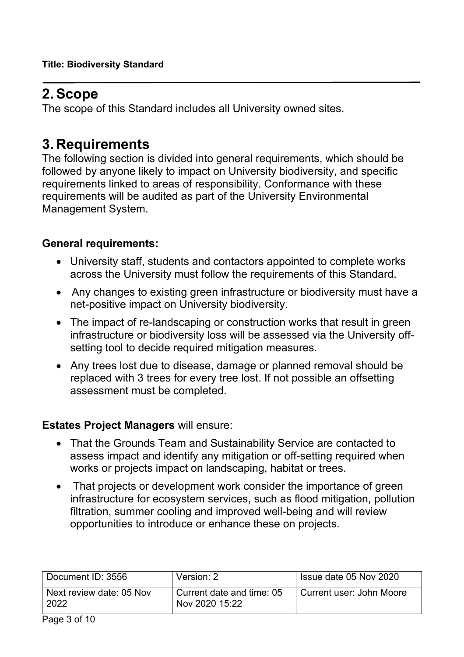# **2. Scope**

The scope of this Standard includes all University owned sites.

# **3. Requirements**

The following section is divided into general requirements, which should be followed by anyone likely to impact on University biodiversity, and specific requirements linked to areas of responsibility. Conformance with these requirements will be audited as part of the University Environmental Management System.

# **General requirements:**

- University staff, students and contactors appointed to complete works across the University must follow the requirements of this Standard.
- Any changes to existing green infrastructure or biodiversity must have a net-positive impact on University biodiversity.
- The impact of re-landscaping or construction works that result in green infrastructure or biodiversity loss will be assessed via the University offsetting tool to decide required mitigation measures.
- Any trees lost due to disease, damage or planned removal should be replaced with 3 trees for every tree lost. If not possible an offsetting assessment must be completed.

# **Estates Project Managers** will ensure:

- That the Grounds Team and Sustainability Service are contacted to assess impact and identify any mitigation or off-setting required when works or projects impact on landscaping, habitat or trees.
- That projects or development work consider the importance of green infrastructure for ecosystem services, such as flood mitigation, pollution filtration, summer cooling and improved well-being and will review opportunities to introduce or enhance these on projects.

| Document ID: 3556                | Version: 2                                  | Issue date 05 Nov 2020   |
|----------------------------------|---------------------------------------------|--------------------------|
| Next review date: 05 Nov<br>2022 | Current date and time: 05<br>Nov 2020 15:22 | Current user: John Moore |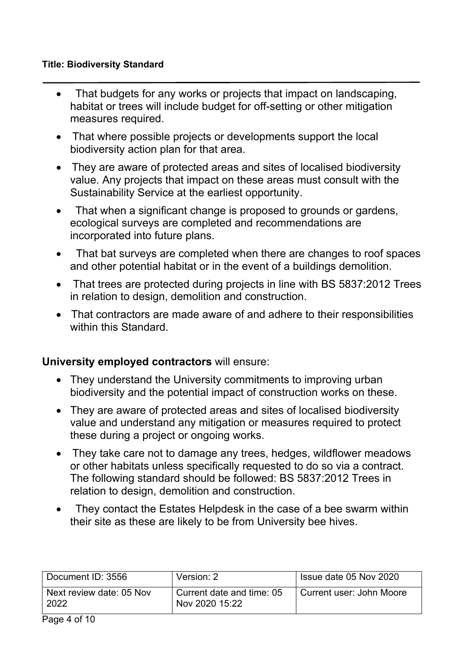#### **Title: Biodiversity Standard**

- That budgets for any works or projects that impact on landscaping, habitat or trees will include budget for off-setting or other mitigation measures required.
- That where possible projects or developments support the local biodiversity action plan for that area.
- They are aware of protected areas and sites of localised biodiversity value. Any projects that impact on these areas must consult with the Sustainability Service at the earliest opportunity.
- That when a significant change is proposed to grounds or gardens, ecological surveys are completed and recommendations are incorporated into future plans.
- That bat surveys are completed when there are changes to roof spaces and other potential habitat or in the event of a buildings demolition.
- That trees are protected during projects in line with BS 5837:2012 Trees in relation to design, demolition and construction.
- That contractors are made aware of and adhere to their responsibilities within this Standard.

# **University employed contractors** will ensure:

- They understand the University commitments to improving urban biodiversity and the potential impact of construction works on these.
- They are aware of protected areas and sites of localised biodiversity value and understand any mitigation or measures required to protect these during a project or ongoing works.
- They take care not to damage any trees, hedges, wildflower meadows or other habitats unless specifically requested to do so via a contract. The following standard should be followed: BS 5837:2012 Trees in relation to design, demolition and construction.
- They contact the Estates Helpdesk in the case of a bee swarm within their site as these are likely to be from University bee hives.

| Document ID: 3556                | Version: 2                                  | Issue date 05 Nov 2020   |
|----------------------------------|---------------------------------------------|--------------------------|
| Next review date: 05 Nov<br>2022 | Current date and time: 05<br>Nov 2020 15:22 | Current user: John Moore |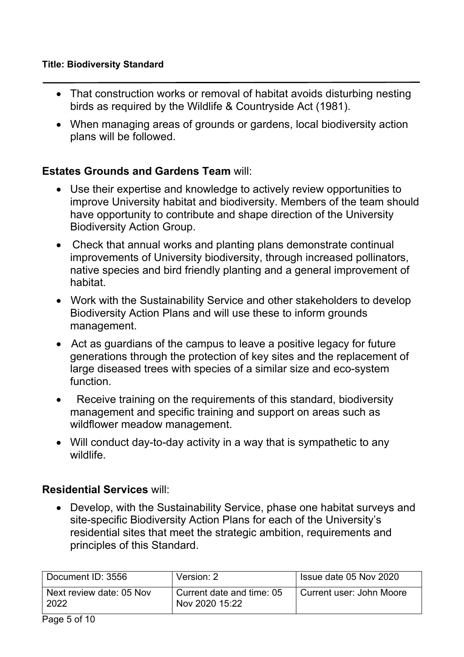- That construction works or removal of habitat avoids disturbing nesting birds as required by the Wildlife & Countryside Act (1981).
- When managing areas of grounds or gardens, local biodiversity action plans will be followed.

# **Estates Grounds and Gardens Team** will:

- Use their expertise and knowledge to actively review opportunities to improve University habitat and biodiversity. Members of the team should have opportunity to contribute and shape direction of the University Biodiversity Action Group.
- Check that annual works and planting plans demonstrate continual improvements of University biodiversity, through increased pollinators, native species and bird friendly planting and a general improvement of habitat.
- Work with the Sustainability Service and other stakeholders to develop Biodiversity Action Plans and will use these to inform grounds management.
- Act as guardians of the campus to leave a positive legacy for future generations through the protection of key sites and the replacement of large diseased trees with species of a similar size and eco-system function.
- Receive training on the requirements of this standard, biodiversity management and specific training and support on areas such as wildflower meadow management.
- Will conduct day-to-day activity in a way that is sympathetic to any wildlife.

# **Residential Services** will:

 Develop, with the Sustainability Service, phase one habitat surveys and site-specific Biodiversity Action Plans for each of the University's residential sites that meet the strategic ambition, requirements and principles of this Standard.

| Document ID: 3556                | Version: 2                                  | Issue date 05 Nov 2020   |
|----------------------------------|---------------------------------------------|--------------------------|
| Next review date: 05 Nov<br>2022 | Current date and time: 05<br>Nov 2020 15:22 | Current user: John Moore |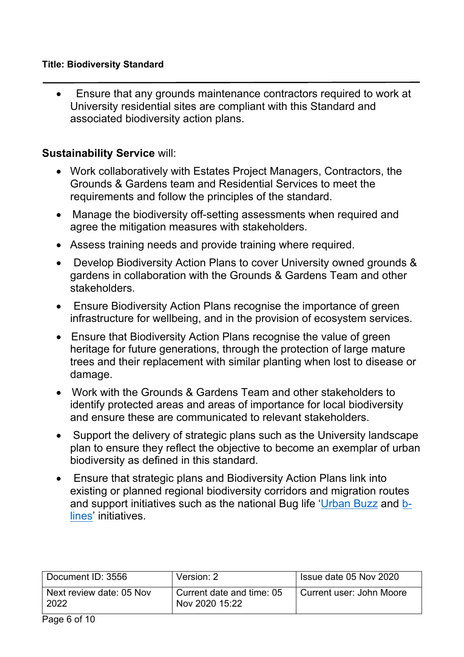#### **Title: Biodiversity Standard**

 Ensure that any grounds maintenance contractors required to work at University residential sites are compliant with this Standard and associated biodiversity action plans.

# **Sustainability Service** will:

- Work collaboratively with Estates Project Managers, Contractors, the Grounds & Gardens team and Residential Services to meet the requirements and follow the principles of the standard.
- Manage the biodiversity off-setting assessments when required and agree the mitigation measures with stakeholders.
- Assess training needs and provide training where required.
- Develop Biodiversity Action Plans to cover University owned grounds & gardens in collaboration with the Grounds & Gardens Team and other stakeholders.
- Ensure Biodiversity Action Plans recognise the importance of green infrastructure for wellbeing, and in the provision of ecosystem services.
- Ensure that Biodiversity Action Plans recognise the value of green heritage for future generations, through the protection of large mature trees and their replacement with similar planting when lost to disease or damage.
- Work with the Grounds & Gardens Team and other stakeholders to identify protected areas and areas of importance for local biodiversity and ensure these are communicated to relevant stakeholders.
- Support the delivery of strategic plans such as the University landscape plan to ensure they reflect the objective to become an exemplar of urban biodiversity as defined in this standard.
- Ensure that strategic plans and Biodiversity Action Plans link into existing or planned regional biodiversity corridors and migration routes and support initiatives such as the national Bug life ['Urban Buzz](https://www.buglife.org.uk/our-work/pollinator-projects/urban-buzz/) and [b](https://www.buglife.org.uk/our-work/b-lines/)[lines'](https://www.buglife.org.uk/our-work/b-lines/) initiatives.

| Document ID: 3556                | Version: 2                                  | Issue date 05 Nov 2020   |
|----------------------------------|---------------------------------------------|--------------------------|
| Next review date: 05 Nov<br>2022 | Current date and time: 05<br>Nov 2020 15:22 | Current user: John Moore |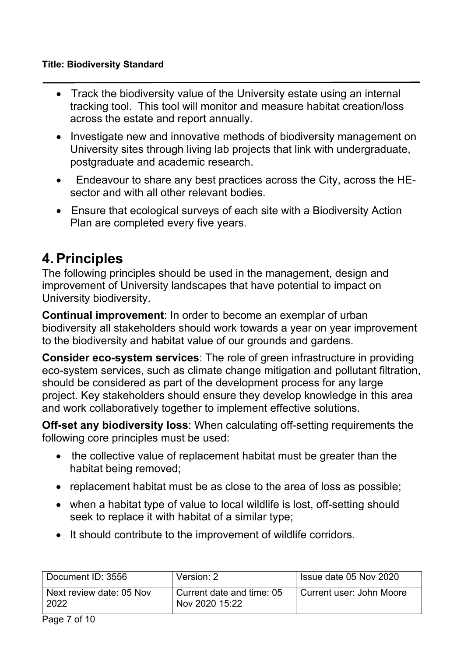#### **Title: Biodiversity Standard**

- Track the biodiversity value of the University estate using an internal tracking tool. This tool will monitor and measure habitat creation/loss across the estate and report annually.
- Investigate new and innovative methods of biodiversity management on University sites through living lab projects that link with undergraduate, postgraduate and academic research.
- Endeavour to share any best practices across the City, across the HEsector and with all other relevant bodies.
- Ensure that ecological surveys of each site with a Biodiversity Action Plan are completed every five years.

# **4. Principles**

The following principles should be used in the management, design and improvement of University landscapes that have potential to impact on University biodiversity.

**Continual improvement**: In order to become an exemplar of urban biodiversity all stakeholders should work towards a year on year improvement to the biodiversity and habitat value of our grounds and gardens.

**Consider eco-system services**: The role of green infrastructure in providing eco-system services, such as climate change mitigation and pollutant filtration, should be considered as part of the development process for any large project. Key stakeholders should ensure they develop knowledge in this area and work collaboratively together to implement effective solutions.

**Off-set any biodiversity loss**: When calculating off-setting requirements the following core principles must be used:

- the collective value of replacement habitat must be greater than the habitat being removed;
- replacement habitat must be as close to the area of loss as possible;
- when a habitat type of value to local wildlife is lost, off-setting should seek to replace it with habitat of a similar type;
- It should contribute to the improvement of wildlife corridors.

| Document ID: 3556                | Version: 2                                  | Issue date 05 Nov 2020   |
|----------------------------------|---------------------------------------------|--------------------------|
| Next review date: 05 Nov<br>2022 | Current date and time: 05<br>Nov 2020 15:22 | Current user: John Moore |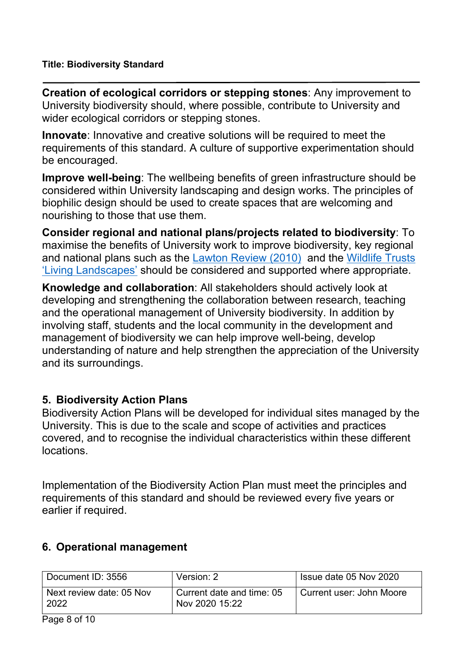**Creation of ecological corridors or stepping stones**: Any improvement to University biodiversity should, where possible, contribute to University and wider ecological corridors or stepping stones.

**Innovate**: Innovative and creative solutions will be required to meet the requirements of this standard. A culture of supportive experimentation should be encouraged.

**Improve well-being**: The wellbeing benefits of green infrastructure should be considered within University landscaping and design works. The principles of biophilic design should be used to create spaces that are welcoming and nourishing to those that use them.

**Consider regional and national plans/projects related to biodiversity**: To maximise the benefits of University work to improve biodiversity, key regional and national plans such as the [Lawton Review \(2010\)](https://webarchive.nationalarchives.gov.uk/20130402170324/http:/archive.defra.gov.uk/environment/biodiversity/documents/201009space-for-nature.pdf) and the [Wildlife Trusts](https://www.wildlifetrusts.org/about-us/vision-and-mission/living-landscapes)  ['Living Landscapes'](https://www.wildlifetrusts.org/about-us/vision-and-mission/living-landscapes) should be considered and supported where appropriate.

**Knowledge and collaboration**: All stakeholders should actively look at developing and strengthening the collaboration between research, teaching and the operational management of University biodiversity. In addition by involving staff, students and the local community in the development and management of biodiversity we can help improve well-being, develop understanding of nature and help strengthen the appreciation of the University and its surroundings.

# **5. Biodiversity Action Plans**

Biodiversity Action Plans will be developed for individual sites managed by the University. This is due to the scale and scope of activities and practices covered, and to recognise the individual characteristics within these different locations.

Implementation of the Biodiversity Action Plan must meet the principles and requirements of this standard and should be reviewed every five years or earlier if required.

# **6. Operational management**

| Document ID: 3556                | Version: 2                                  | Issue date 05 Nov 2020   |
|----------------------------------|---------------------------------------------|--------------------------|
| Next review date: 05 Nov<br>2022 | Current date and time: 05<br>Nov 2020 15:22 | Current user: John Moore |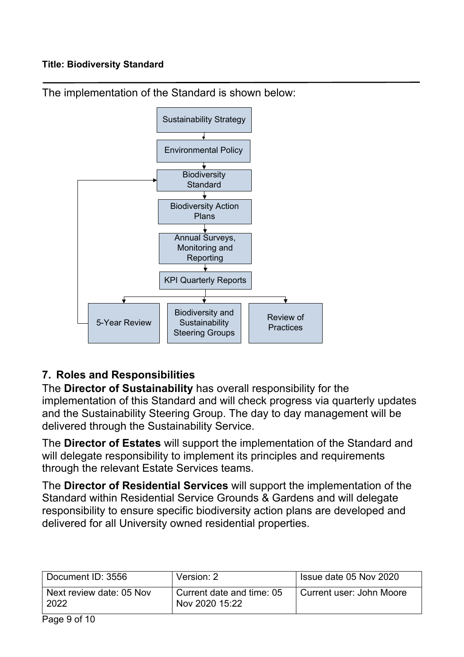

The implementation of the Standard is shown below:

# **7. Roles and Responsibilities**

The **Director of Sustainability** has overall responsibility for the implementation of this Standard and will check progress via quarterly updates and the Sustainability Steering Group. The day to day management will be delivered through the Sustainability Service.

The **Director of Estates** will support the implementation of the Standard and will delegate responsibility to implement its principles and requirements through the relevant Estate Services teams.

The **Director of Residential Services** will support the implementation of the Standard within Residential Service Grounds & Gardens and will delegate responsibility to ensure specific biodiversity action plans are developed and delivered for all University owned residential properties.

| Document ID: 3556                | Version: 2                                  | Issue date 05 Nov 2020   |
|----------------------------------|---------------------------------------------|--------------------------|
| Next review date: 05 Nov<br>2022 | Current date and time: 05<br>Nov 2020 15:22 | Current user: John Moore |